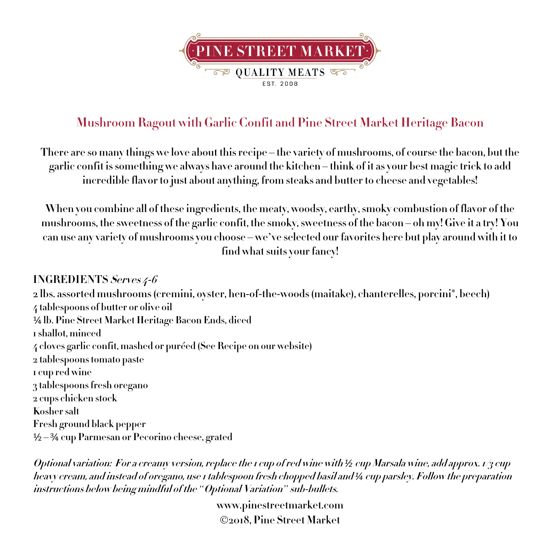

## **Mushroom Ragout with Garlic Confit and Pine Street Market Heritage Bacon**

There are so many things we love about this recipe – the variety of mushrooms, of course the bacon, but the garlic confit is something we always have around the kitchen – think of it as your best magic trick to add **incredible flavor to just about anything, from steaks and butter to cheese and vegetables!**

**When you combine all of these ingredients, the meaty, woodsy, earthy,smoky combustion of flavor of the** mushrooms, the sweetness of the garlic confit, the smoky, sweetness of the bacon – oh my! Give it a try! You can use any variety of mushrooms you choose – we've selected our favorites here but play around with it to **find whatsuits your fancy!**

## **INGREDIENTS Serves 4-6**

**2 lbs. assorted mushrooms (cremini, oyster, hen-of-the-woods (maitake), chanterelles, porcini\*, beech) 4 tablespoons of butter or olive oil** ¼ **lb. Pine Street Market Heritage Bacon Ends, diced 1 shallot, minced 4 cloves garlic confit, mashed or puréed (See Recipe on our website) 2 tablespoons tomato paste 1 cup red wine 3 tablespoons fresh oregano 2 cups chicken stock Kosher salt Fresh ground black pepper** ½ – ¾ **cup Parmesan or Pecorino cheese, grated**

**Optional variation: For a creamy version, replace the 1 cup of red wine with** *½* **cup Marsala wine, add approx. 1/3 cup heavy cream, and instead of oregano, use 1 tablespoon fresh chopped basil and** *¼* **cup parsley. Follow the preparation instructions below being mindful of the** *"***Optional Variation***"* **sub-bullets.**

> **www.pinestreetmarket.com** Ó**2018, Pine Street Market**